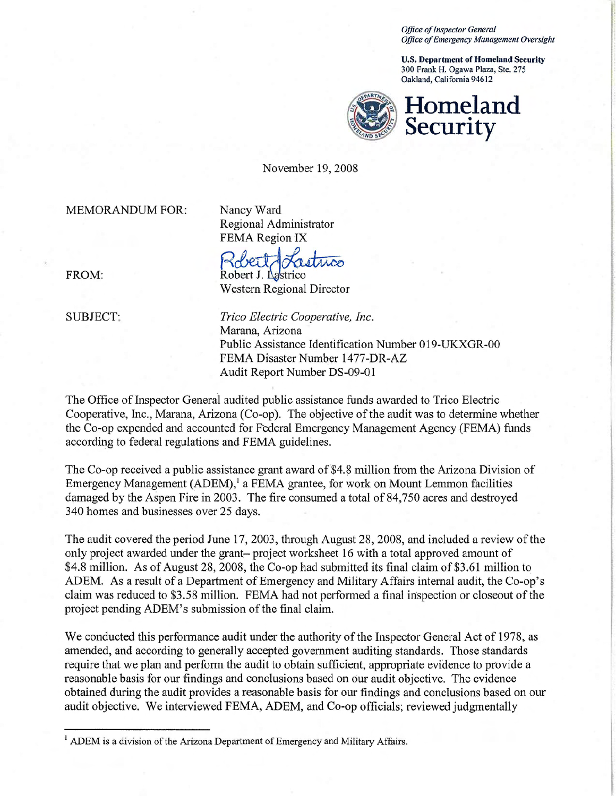*Office of Inspector General Office ofEmergency Management Oversight* 

U.S. **Department of Homeland Security**  300 Frank H. Ogawa Plaza, Ste. 275 Oakland, California 94612



November 19,2008

MEMORANDUM FOR: Nancy Ward

Regional Administrator

FEMA Region IX<br>Robert / Lastrico Robert J. Lastrico

Western Regional Director

FROM:

SUBJECT: *Trico Electric Cooperative, Inc.*  Marana, Arizona Public Assistance Identification Number 019-UKXGR-00 FEMA Disaster Number 1477-DR-AZ Audit Report Number DS-09-01

The Office of Inspector General audited public assistance funds awarded to Trico Electric Cooperative, Inc., Marana, Arizona (Co-op). The objective of the audit was to determine whether the Co-op expended and accounted for Federal Emergency Management Agency (FEMA) funds according to federal regulations and FEMA guidelines.

The Co-op received a public assistance grant award of \$4.8 million from the Arizona Division of Emergency Management (ADEM),<sup>1</sup> a FEMA grantee, for work on Mount Lemmon facilities damaged by the Aspen Fire in 2003. The fire consumed a total of 84,750 acres and destroyed 340 homes and businesses over 25 days.

The audit covered the period June 17, 2003, through August 28, 2008, and included a review of the only project awarded under the grant- project worksheet 16 with a total approved amount of \$4.8 million. As of August 28, 2008, the Co-op had submitted its final claim of \$3.61 million to ADEM. As a result of a Department of Emergency and Military Affairs internal audit, the Co-op's claim was reduced to \$3.58 million. FEMA had not performed a final inspection or closeout of the project pending ADEM's submission of the final claim.

We conducted this performance audit under the authority of the Inspector General Act of 1978, as amended, and according to generally accepted government auditing standards. Those standards require that we plan and perform the audit to obtain sufficient, appropriate evidence to provide a reasonable basis for our findings and conclusions based on our audit objective. The evidence obtained during the audit provides a reasonable basis for our findings and conclusions based on our audit objective. We interviewed FEMA, ADEM, and Co-op officials; reviewed judgmentally

<sup>&</sup>lt;sup>1</sup> ADEM is a division of the Arizona Department of Emergency and Military Affairs.